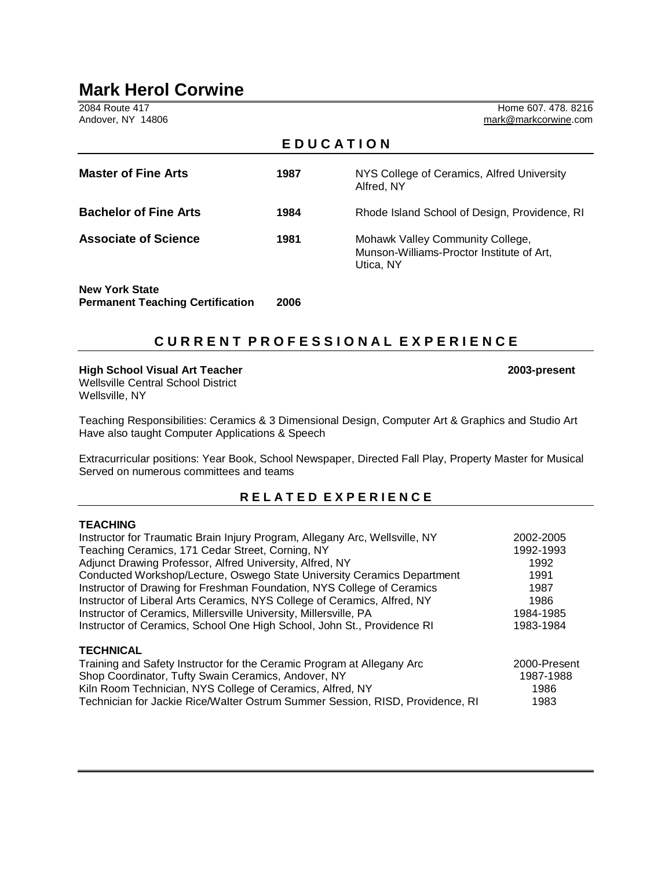# **Mark Herol Corwine**

2084 Route 417 Home 607. 478. 8216<br>Andover, NY 14806 **Home 607. 478. 8216** mark@markcorwine.com

| EDUCATION                                                        |      |                                                                                            |  |
|------------------------------------------------------------------|------|--------------------------------------------------------------------------------------------|--|
| <b>Master of Fine Arts</b>                                       | 1987 | NYS College of Ceramics, Alfred University<br>Alfred, NY                                   |  |
| <b>Bachelor of Fine Arts</b>                                     | 1984 | Rhode Island School of Design, Providence, RI                                              |  |
| <b>Associate of Science</b>                                      | 1981 | Mohawk Valley Community College,<br>Munson-Williams-Proctor Institute of Art,<br>Utica, NY |  |
| <b>New York State</b><br><b>Permanent Teaching Certification</b> | 2006 |                                                                                            |  |

# **C U R R E N T P R O F E S S I O N A L E X P E R I E N C E**

**High School Visual Art Teacher 2003-present** Wellsville Central School District Wellsville, NY

Teaching Responsibilities: Ceramics & 3 Dimensional Design, Computer Art & Graphics and Studio Art Have also taught Computer Applications & Speech

Extracurricular positions: Year Book, School Newspaper, Directed Fall Play, Property Master for Musical Served on numerous committees and teams

## **R E L A T E D E X P E R I E N C E**

#### **TEACHING**

| Instructor for Traumatic Brain Injury Program, Allegany Arc, Wellsville, NY   | 2002-2005    |
|-------------------------------------------------------------------------------|--------------|
| Teaching Ceramics, 171 Cedar Street, Corning, NY                              | 1992-1993    |
| Adjunct Drawing Professor, Alfred University, Alfred, NY                      | 1992         |
| Conducted Workshop/Lecture, Oswego State University Ceramics Department       | 1991         |
| Instructor of Drawing for Freshman Foundation, NYS College of Ceramics        | 1987         |
| Instructor of Liberal Arts Ceramics, NYS College of Ceramics, Alfred, NY      | 1986         |
| Instructor of Ceramics, Millersville University, Millersville, PA             | 1984-1985    |
| Instructor of Ceramics, School One High School, John St., Providence RI       | 1983-1984    |
| <b>TECHNICAL</b>                                                              |              |
| Training and Safety Instructor for the Ceramic Program at Allegany Arc        | 2000-Present |
| Shop Coordinator, Tufty Swain Ceramics, Andover, NY                           | 1987-1988    |
| Kiln Room Technician, NYS College of Ceramics, Alfred, NY                     | 1986         |
| Technician for Jackie Rice/Walter Ostrum Summer Session, RISD, Providence, RI | 1983         |